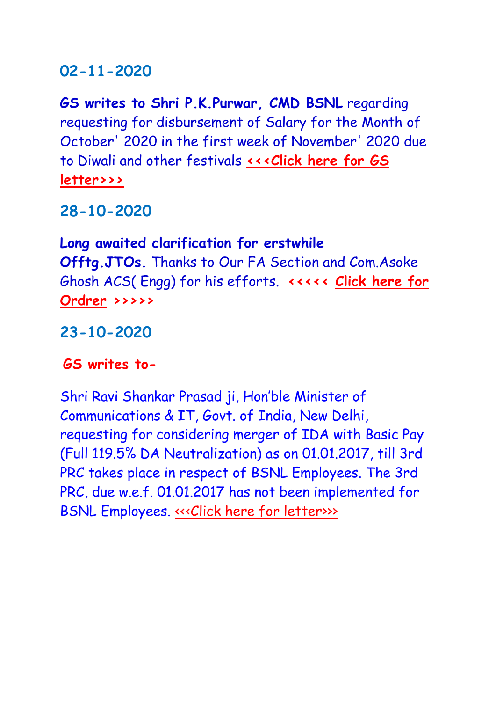### **02-11-2020**

**GS writes to Shri P.K.Purwar, CMD BSNL** regarding requesting for disbursement of Salary for the Month of October' 2020 in the first week of November' 2020 due to Diwali and other festivals **[<<<Click here for GS](http://aibsnleachq.in/Lr%20to%20CMD%20for%20salary%20Oct%202020.pdf)  [letter>>>](http://aibsnleachq.in/Lr%20to%20CMD%20for%20salary%20Oct%202020.pdf)**

**28-10-2020**

**Long awaited clarification for erstwhile Offtg.JTOs.** Thanks to Our FA Section and Com.Asoke Ghosh ACS( Engg) for his efforts. **<<<<< [Click here for](http://aibsnleawb.org/New%20Doc%202020-10-28.pdf)  [Ordrer](http://aibsnleawb.org/New%20Doc%202020-10-28.pdf) >>>>>**

**23-10-2020**

#### **GS writes to-**

Shri Ravi Shankar Prasad ji, Hon'ble Minister of Communications & IT, Govt. of India, New Delhi, requesting for considering merger of IDA with Basic Pay (Full 119.5% DA Neutralization) as on 01.01.2017, till 3rd PRC takes place in respect of BSNL Employees. The 3rd PRC, due w.e.f. 01.01.2017 has not been implemented for BSNL Employees. «<< Click here for letter>>>>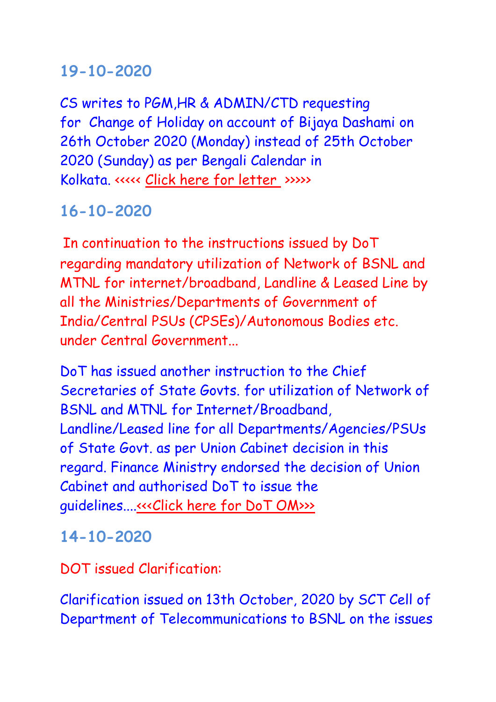## **19-10-2020**

CS writes to PGM,HR & ADMIN/CTD requesting for Change of Holiday on account of Bijaya Dashami on 26th October 2020 (Monday) instead of 25th October 2020 (Sunday) as per Bengali Calendar in Kolkata. <<<<< [Click here for letter](http://aibsnleawb.org/PGM_191020.pdf) >>>>>

# **16-10-2020**

In continuation to the instructions issued by DoT regarding mandatory utilization of Network of BSNL and MTNL for internet/broadband, Landline & Leased Line by all the Ministries/Departments of Government of India/Central PSUs (CPSEs)/Autonomous Bodies etc. under Central Government...

DoT has issued another instruction to the Chief Secretaries of State Govts. for utilization of Network of BSNL and MTNL for Internet/Broadband, Landline/Leased line for all Departments/Agencies/PSUs of State Govt. as per Union Cabinet decision in this regard. Finance Ministry endorsed the decision of Union Cabinet and authorised DoT to issue the guidelines...[.<<<Click here for DoT OM>>>](http://aibsnleachq.in/State%20Gove%20to%20utilise%20BSNL%20Network%2012102020.pdf)

### **14-10-2020**

DOT issued Clarification:

Clarification issued on 13th October, 2020 by SCT Cell of Department of Telecommunications to BSNL on the issues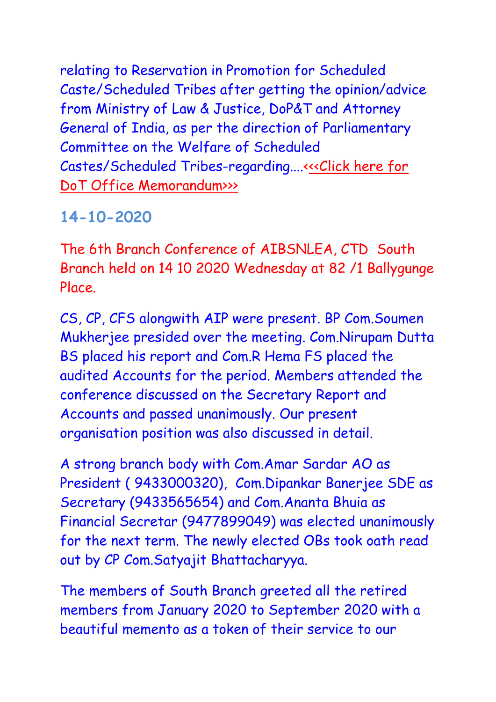relating to Reservation in Promotion for Scheduled Caste/Scheduled Tribes after getting the opinion/advice from Ministry of Law & Justice, DoP&T and Attorney General of India, as per the direction of Parliamentary Committee on the Welfare of Scheduled Castes/Scheduled Tribes-regarding....<<<Click here for [DoT Office Memorandum>>>](http://aibsnleachq.in/Clarification%20on%20reservation%20in%20promotion_DOT%20OM.pdf)

## **14-10-2020**

The 6th Branch Conference of AIBSNLEA, CTD South Branch held on 14 10 2020 Wednesday at 82 /1 Ballygunge Place.

CS, CP, CFS alongwith AIP were present. BP Com.Soumen Mukherjee presided over the meeting. Com.Nirupam Dutta BS placed his report and Com.R Hema FS placed the audited Accounts for the period. Members attended the conference discussed on the Secretary Report and Accounts and passed unanimously. Our present organisation position was also discussed in detail.

A strong branch body with Com.Amar Sardar AO as President ( 9433000320), Com.Dipankar Banerjee SDE as Secretary (9433565654) and Com.Ananta Bhuia as Financial Secretar (9477899049) was elected unanimously for the next term. The newly elected OBs took oath read out by CP Com.Satyajit Bhattacharyya.

The members of South Branch greeted all the retired members from January 2020 to September 2020 with a beautiful memento as a token of their service to our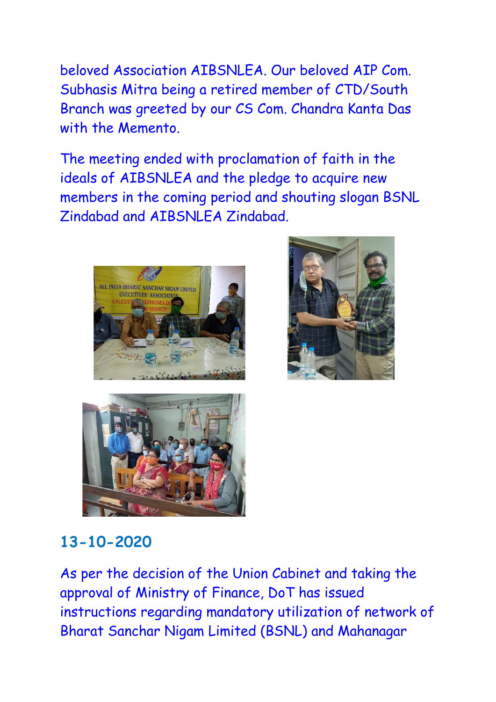beloved Association AIBSNLEA. Our beloved AIP Com. Subhasis Mitra being a retired member of CTD/South Branch was greeted by our CS Com. Chandra Kanta Das with the Memento.

The meeting ended with proclamation of faith in the ideals of AIBSNLEA and the pledge to acquire new members in the coming period and shouting slogan BSNL Zindabad and AIBSNLEA Zindabad.







## **13-10-2020**

As per the decision of the Union Cabinet and taking the approval of Ministry of Finance, DoT has issued instructions regarding mandatory utilization of network of Bharat Sanchar Nigam Limited (BSNL) and Mahanagar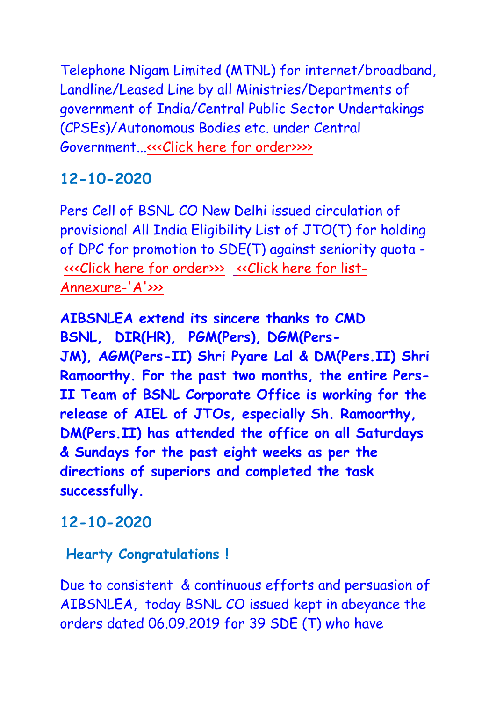Telephone Nigam Limited (MTNL) for internet/broadband, Landline/Leased Line by all Ministries/Departments of government of India/Central Public Sector Undertakings (CPSEs)/Autonomous Bodies etc. under Central Government..[.<<<Click here for order>>>>](http://aibsnleachq.in/10-13-2020.pdf)

# **12-10-2020**

Pers Cell of BSNL CO New Delhi issued circulation of provisional All India Eligibility List of JTO(T) for holding of DPC for promotion to SDE(T) against seniority quota - [<<<Click here for order>>>](http://aibsnleachq.in/AIEL%20of%20JTO%20(T)%2012-Oct-2020%2017-55-28.pdf) [<<Click here for list-](http://aibsnleachq.in/Provisional%20AIEL%202002%20TO%202008_12102020%20(1).pdf)[Annexure-'A'>>>](http://aibsnleachq.in/Provisional%20AIEL%202002%20TO%202008_12102020%20(1).pdf)

**AIBSNLEA extend its sincere thanks to CMD BSNL, DIR(HR), PGM(Pers), DGM(Pers-JM), AGM(Pers-II) Shri Pyare Lal & DM(Pers.II) Shri Ramoorthy. For the past two months, the entire Pers-II Team of BSNL Corporate Office is working for the release of AIEL of JTOs, especially Sh. Ramoorthy, DM(Pers.II) has attended the office on all Saturdays & Sundays for the past eight weeks as per the directions of superiors and completed the task successfully.**

## **12-10-2020**

#### **Hearty Congratulations !**

Due to consistent & continuous efforts and persuasion of AIBSNLEA, today BSNL CO issued kept in abeyance the orders dated 06.09.2019 for 39 SDE (T) who have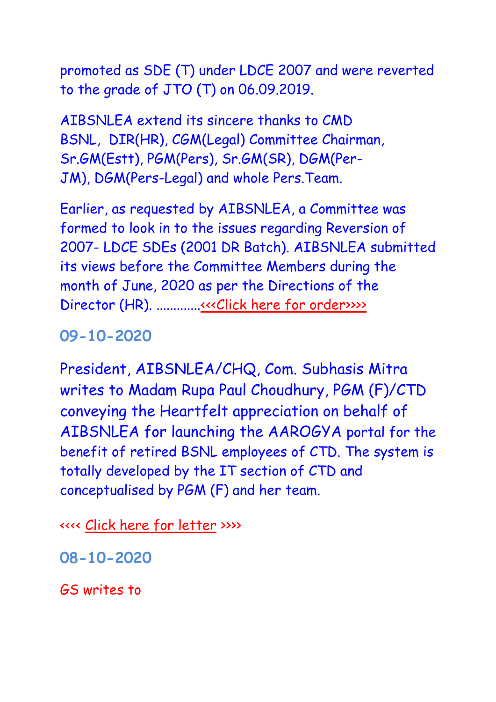promoted as SDE (T) under LDCE 2007 and were reverted to the grade of JTO (T) on 06.09.2019.

AIBSNLEA extend its sincere thanks to CMD BSNL, DIR(HR), CGM(Legal) Committee Chairman, Sr.GM(Estt), PGM(Pers), Sr.GM(SR), DGM(Per-JM), DGM(Pers-Legal) and whole Pers.Team.

Earlier, as requested by AIBSNLEA, a Committee was formed to look in to the issues regarding Reversion of 2007- LDCE SDEs (2001 DR Batch). AIBSNLEA submitted its views before the Committee Members during the month of June, 2020 as per the Directions of the Director (HR). ................[.<<<Click here for order>>>>](http://aibsnleachq.in/Reversion%20U%20turn%2012-Oct-2020%2017-11-51%20(2).pdf)>

**09-10-2020**

President, AIBSNLEA/CHQ, Com. Subhasis Mitra writes to Madam Rupa Paul Choudhury, PGM (F)/CTD conveying the Heartfelt appreciation on behalf of AIBSNLEA for launching the AAROGYA portal for the benefit of retired BSNL employees of CTD. The system is totally developed by the IT section of CTD and conceptualised by PGM (F) and her team.

<<<< [Click here for letter](http://aibsnleawb.org/AIP_051020.pdf) >>>>

**08-10-2020**

GS writes to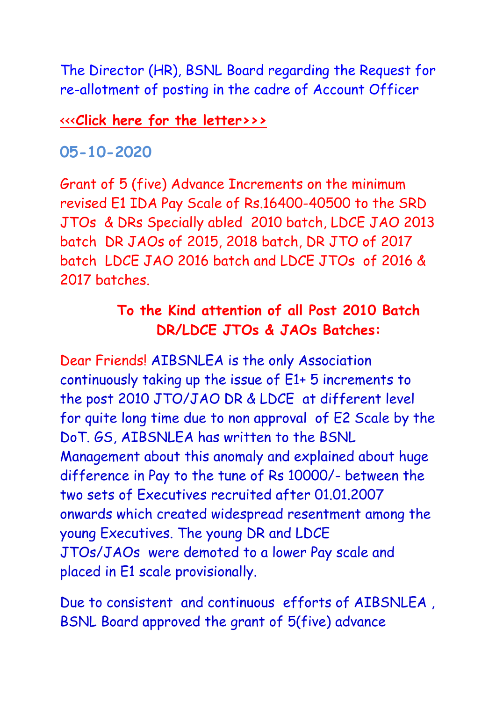The Director (HR), BSNL Board regarding the Request for re-allotment of posting in the cadre of Account Officer

[<<<](http://aibsnleachq.in/Lr%20to%20CMD%20FTTH%20LCO%2023092020.pdf)**[Click here for the letter](http://aibsnleachq.in/Tarun%20Roy.pdf)[>>>](http://aibsnleachq.in/Lr%20to%20CMD%20FTTH%20LCO%2023092020.pdf)**

### **05-10-2020**

Grant of 5 (five) Advance Increments on the minimum revised E1 IDA Pay Scale of Rs.16400-40500 to the SRD JTOs & DRs Specially abled 2010 batch, LDCE JAO 2013 batch DR JAOs of 2015, 2018 batch, DR JTO of 2017 batch LDCE JAO 2016 batch and LDCE JTOs of 2016 & 2017 batches.

## **To the Kind attention of all Post 2010 Batch DR/LDCE JTOs & JAOs Batches:**

Dear Friends! AIBSNLEA is the only Association continuously taking up the issue of E1+ 5 increments to the post 2010 JTO/JAO DR & LDCE at different level for quite long time due to non approval of E2 Scale by the DoT. GS, AIBSNLEA has written to the BSNL Management about this anomaly and explained about huge difference in Pay to the tune of Rs 10000/- between the two sets of Executives recruited after 01.01.2007 onwards which created widespread resentment among the young Executives. The young DR and LDCE JTOs/JAOs were demoted to a lower Pay scale and placed in E1 scale provisionally.

Due to consistent and continuous efforts of AIBSNLEA , BSNL Board approved the grant of 5(five) advance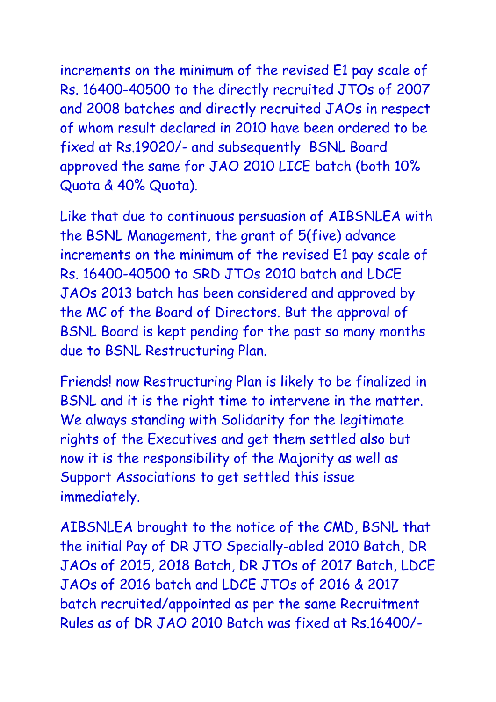increments on the minimum of the revised E1 pay scale of Rs. 16400-40500 to the directly recruited JTOs of 2007 and 2008 batches and directly recruited JAOs in respect of whom result declared in 2010 have been ordered to be fixed at Rs.19020/- and subsequently BSNL Board approved the same for JAO 2010 LICE batch (both 10% Quota & 40% Quota).

Like that due to continuous persuasion of AIBSNLEA with the BSNL Management, the grant of 5(five) advance increments on the minimum of the revised E1 pay scale of Rs. 16400-40500 to SRD JTOs 2010 batch and LDCE JAOs 2013 batch has been considered and approved by the MC of the Board of Directors. But the approval of BSNL Board is kept pending for the past so many months due to BSNL Restructuring Plan.

Friends! now Restructuring Plan is likely to be finalized in BSNL and it is the right time to intervene in the matter. We always standing with Solidarity for the legitimate rights of the Executives and get them settled also but now it is the responsibility of the Majority as well as Support Associations to get settled this issue immediately.

AIBSNLEA brought to the notice of the CMD, BSNL that the initial Pay of DR JTO Specially-abled 2010 Batch, DR JAOs of 2015, 2018 Batch, DR JTOs of 2017 Batch, LDCE JAOs of 2016 batch and LDCE JTOs of 2016 & 2017 batch recruited/appointed as per the same Recruitment Rules as of DR JAO 2010 Batch was fixed at Rs.16400/-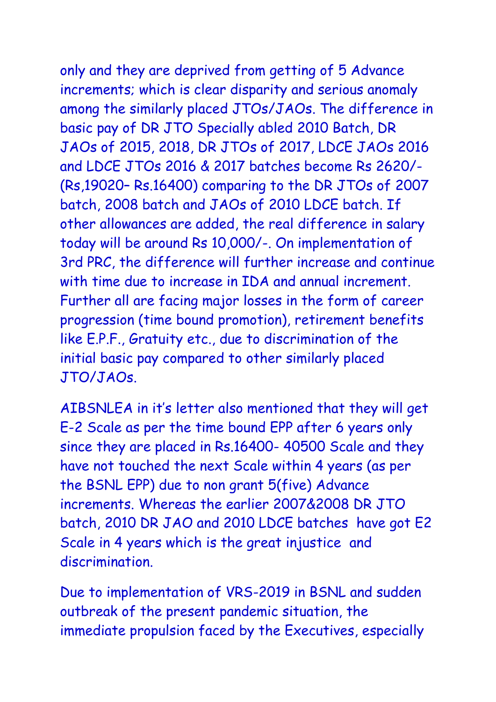only and they are deprived from getting of 5 Advance increments; which is clear disparity and serious anomaly among the similarly placed JTOs/JAOs. The difference in basic pay of DR JTO Specially abled 2010 Batch, DR JAOs of 2015, 2018, DR JTOs of 2017, LDCE JAOs 2016 and LDCE JTOs 2016 & 2017 batches become Rs 2620/- (Rs,19020– Rs.16400) comparing to the DR JTOs of 2007 batch, 2008 batch and JAOs of 2010 LDCE batch. If other allowances are added, the real difference in salary today will be around Rs 10,000/-. On implementation of 3rd PRC, the difference will further increase and continue with time due to increase in IDA and annual increment. Further all are facing major losses in the form of career

progression (time bound promotion), retirement benefits like E.P.F., Gratuity etc., due to discrimination of the initial basic pay compared to other similarly placed JTO/JAOs.

AIBSNLEA in it's letter also mentioned that they will get E-2 Scale as per the time bound EPP after 6 years only since they are placed in Rs.16400- 40500 Scale and they have not touched the next Scale within 4 years (as per the BSNL EPP) due to non grant 5(five) Advance increments. Whereas the earlier 2007&2008 DR JTO batch, 2010 DR JAO and 2010 LDCE batches have got E2 Scale in 4 years which is the great injustice and discrimination.

Due to implementation of VRS-2019 in BSNL and sudden outbreak of the present pandemic situation, the immediate propulsion faced by the Executives, especially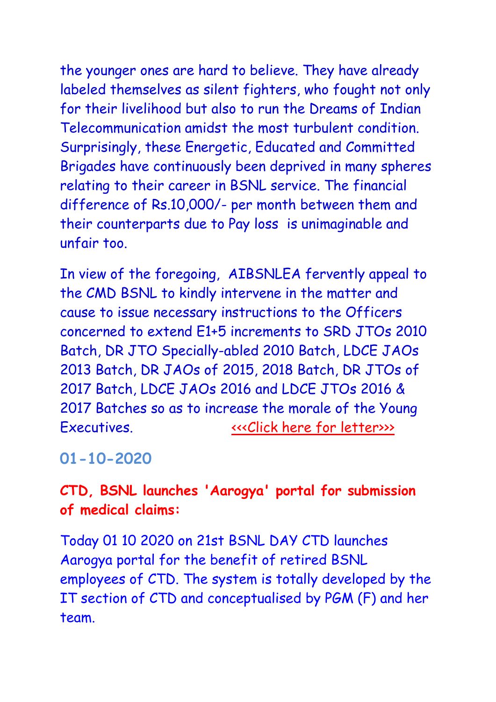the younger ones are hard to believe. They have already labeled themselves as silent fighters, who fought not only for their livelihood but also to run the Dreams of Indian Telecommunication amidst the most turbulent condition. Surprisingly, these Energetic, Educated and Committed Brigades have continuously been deprived in many spheres relating to their career in BSNL service. The financial difference of Rs.10,000/- per month between them and their counterparts due to Pay loss is unimaginable and unfair too.

In view of the foregoing, AIBSNLEA fervently appeal to the CMD BSNL to kindly intervene in the matter and cause to issue necessary instructions to the Officers concerned to extend E1+5 increments to SRD JTOs 2010 Batch, DR JTO Specially-abled 2010 Batch, LDCE JAOs 2013 Batch, DR JAOs of 2015, 2018 Batch, DR JTOs of 2017 Batch, LDCE JAOs 2016 and LDCE JTOs 2016 & 2017 Batches so as to increase the morale of the Young Executives.  $\leftarrow$  executives.

#### **01-10-2020**

### **CTD, BSNL launches 'Aarogya' portal for submission of medical claims:**

Today 01 10 2020 on 21st BSNL DAY CTD launches Aarogya portal for the benefit of retired BSNL employees of CTD. The system is totally developed by the IT section of CTD and conceptualised by PGM (F) and her team.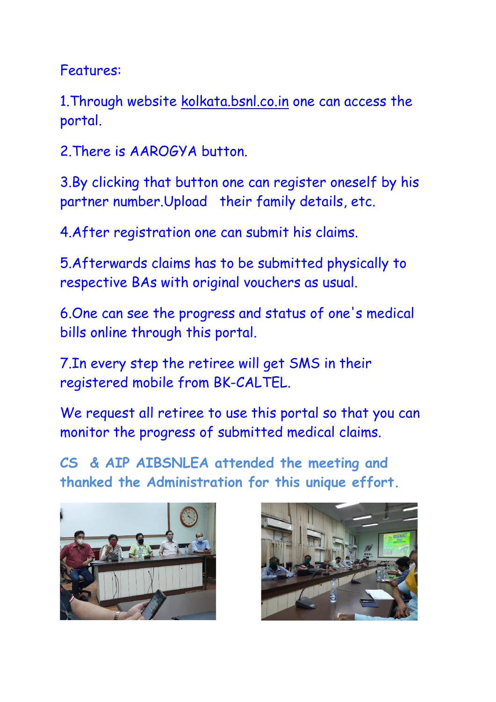Features:

1. Through website [kolkata.bsnl.co.in](http://kolkata.bsnl.co.in/) one can access the portal.

2.There is AAROGYA button.

3.By clicking that button one can register oneself by his partner number.Upload their family details, etc.

4.After registration one can submit his claims.

5.Afterwards claims has to be submitted physically to respective BAs with original vouchers as usual.

6.One can see the progress and status of one's medical bills online through this portal.

7.In every step the retiree will get SMS in their registered mobile from BK-CALTEL.

We request all retiree to use this portal so that you can monitor the progress of submitted medical claims.

**CS & AIP AIBSNLEA attended the meeting and thanked the Administration for this unique effort.**



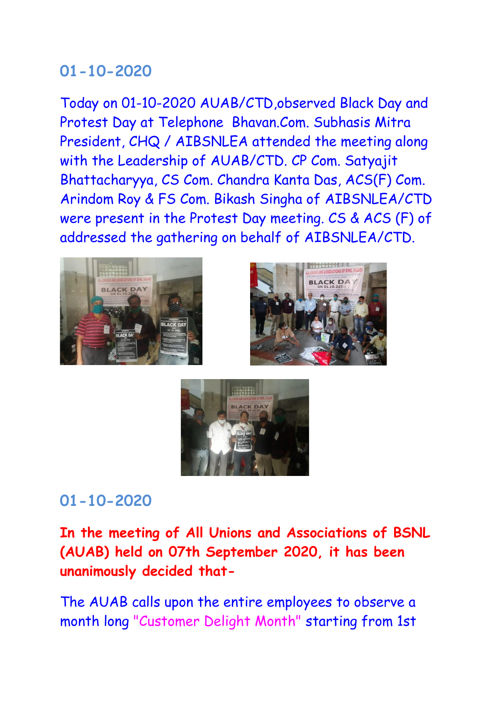### **01-10-2020**

Today on 01-10-2020 AUAB/CTD,observed Black Day and Protest Day at Telephone Bhavan.Com. Subhasis Mitra President, CHQ / AIBSNLEA attended the meeting along with the Leadership of AUAB/CTD. CP Com. Satyajit Bhattacharyya, CS Com. Chandra Kanta Das, ACS(F) Com. Arindom Roy & FS Com. Bikash Singha of AIBSNLEA/CTD were present in the Protest Day meeting. CS & ACS (F) of addressed the gathering on behalf of AIBSNLEA/CTD.







## **01-10-2020**

**In the meeting of All Unions and Associations of BSNL (AUAB) held on 07th September 2020, it has been unanimously decided that-**

The AUAB calls upon the entire employees to observe a month long "Customer Delight Month" starting from 1st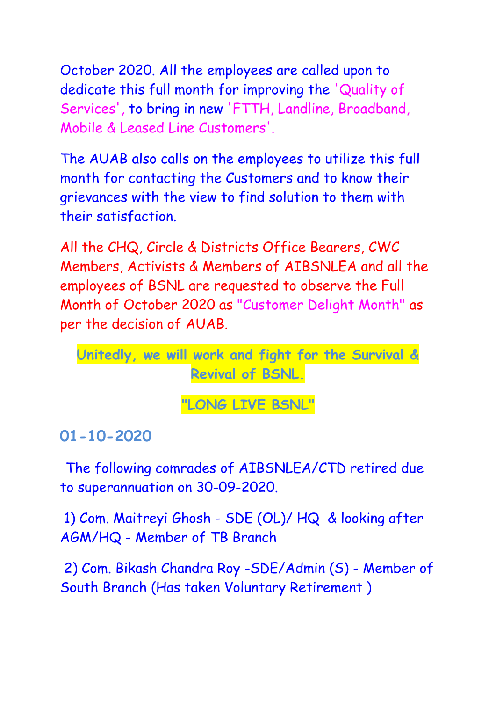October 2020. All the employees are called upon to dedicate this full month for improving the 'Quality of Services', to bring in new 'FTTH, Landline, Broadband, Mobile & Leased Line Customers'.

The AUAB also calls on the employees to utilize this full month for contacting the Customers and to know their grievances with the view to find solution to them with their satisfaction.

All the CHQ, Circle & Districts Office Bearers, CWC Members, Activists & Members of AIBSNLEA and all the employees of BSNL are requested to observe the Full Month of October 2020 as "Customer Delight Month" as per the decision of AUAB.

**Unitedly, we will work and fight for the Survival & Revival of BSNL.**

**"LONG LIVE BSNL"**

## **01-10-2020**

 The following comrades of AIBSNLEA/CTD retired due to superannuation on 30-09-2020.

1) Com. Maitreyi Ghosh - SDE (OL)/ HQ & looking after AGM/HQ - Member of TB Branch

2) Com. Bikash Chandra Roy -SDE/Admin (S) - Member of South Branch (Has taken Voluntary Retirement )